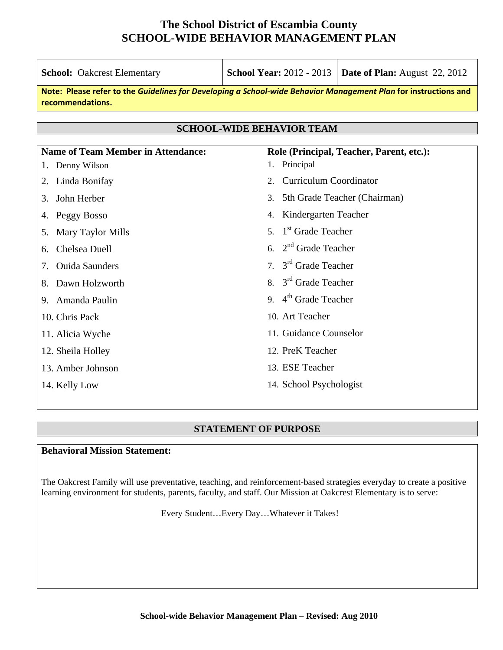| <b>School:</b> Oakcrest Elementary        | <b>School Year: 2012 - 2013   Date of Plan:</b> August 22, 2012                                                 |
|-------------------------------------------|-----------------------------------------------------------------------------------------------------------------|
| recommendations.                          | Note: Please refer to the Guidelines for Developing a School-wide Behavior Management Plan for instructions and |
|                                           |                                                                                                                 |
|                                           | <b>SCHOOL-WIDE BEHAVIOR TEAM</b>                                                                                |
| <b>Name of Team Member in Attendance:</b> | Role (Principal, Teacher, Parent, etc.):                                                                        |
| Denny Wilson<br>1.                        | Principal<br>1.                                                                                                 |
| Linda Bonifay<br>2.                       | <b>Curriculum Coordinator</b><br>2.                                                                             |
| John Herber<br>3.                         | 5th Grade Teacher (Chairman)<br>3.                                                                              |
| Peggy Bosso<br>4.                         | Kindergarten Teacher<br>4.                                                                                      |
| Mary Taylor Mills<br>5.                   | 5. 1 <sup>st</sup> Grade Teacher                                                                                |
| Chelsea Duell<br>6.                       | 6. $2nd$ Grade Teacher                                                                                          |
| <b>Ouida Saunders</b><br>7.               | 7. $3rd$ Grade Teacher                                                                                          |
| Dawn Holzworth<br>8.                      | 8. $3rd$ Grade Teacher                                                                                          |
| Amanda Paulin<br>9.                       | 9. $4th$ Grade Teacher                                                                                          |
| 10. Chris Pack                            | 10. Art Teacher                                                                                                 |
| 11. Alicia Wyche                          | 11. Guidance Counselor                                                                                          |
| 12. Sheila Holley                         | 12. PreK Teacher                                                                                                |
| 13. Amber Johnson                         | 13. ESE Teacher                                                                                                 |
| 14. Kelly Low                             | 14. School Psychologist                                                                                         |
|                                           |                                                                                                                 |

## **STATEMENT OF PURPOSE**

## **Behavioral Mission Statement:**

The Oakcrest Family will use preventative, teaching, and reinforcement-based strategies everyday to create a positive learning environment for students, parents, faculty, and staff. Our Mission at Oakcrest Elementary is to serve:

Every Student…Every Day…Whatever it Takes!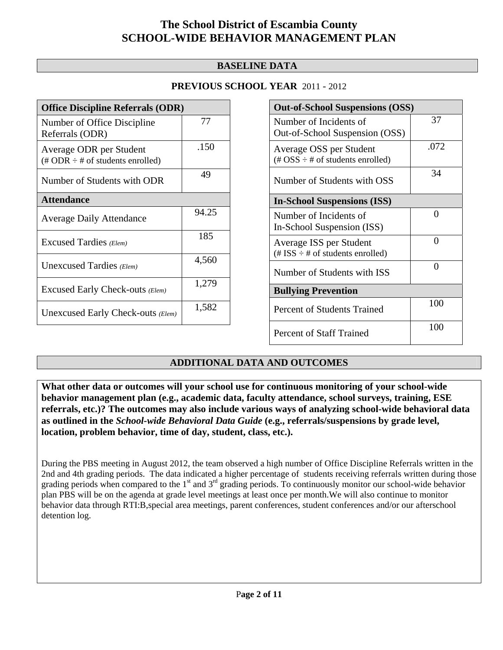## **BASELINE DATA**

| <b>Office Discipline Referrals (ODR)</b>                                         |       |
|----------------------------------------------------------------------------------|-------|
| Number of Office Discipline<br>Referrals (ODR)                                   | 77    |
| Average ODR per Student<br>$(\text{\# ODR} \div \text{\# of students enrolled})$ | .150  |
| Number of Students with ODR                                                      | 49    |
| <b>Attendance</b>                                                                |       |
| <b>Average Daily Attendance</b>                                                  | 94.25 |
| Excused Tardies (Elem)                                                           | 185   |
| Unexcused Tardies (Elem)                                                         | 4,560 |
| Excused Early Check-outs (Elem)                                                  | 1,279 |
| Unexcused Early Check-outs (Elem)                                                | 1,582 |

| <b>Out-of-School Suspensions (OSS)</b>                               |      |
|----------------------------------------------------------------------|------|
| Number of Incidents of                                               | 37   |
| Out-of-School Suspension (OSS)                                       |      |
| Average OSS per Student                                              | .072 |
| $(\text{\#} \text{OSS} \div \text{\#} \text{ of students enrolled})$ |      |
| Number of Students with OSS                                          | 34   |
| <b>In-School Suspensions (ISS)</b>                                   |      |
| Number of Incidents of                                               | 0    |
| In-School Suspension (ISS)                                           |      |
| Average ISS per Student                                              | 0    |
| $(\# ISS \div \# of students enrolled)$                              |      |
| Number of Students with ISS                                          | 0    |
| <b>Bullying Prevention</b>                                           |      |
| <b>Percent of Students Trained</b>                                   | 100  |
| <b>Percent of Staff Trained</b>                                      | 100  |

## **ADDITIONAL DATA AND OUTCOMES**

**What other data or outcomes will your school use for continuous monitoring of your school-wide behavior management plan (e.g., academic data, faculty attendance, school surveys, training, ESE referrals, etc.)? The outcomes may also include various ways of analyzing school-wide behavioral data as outlined in the** *School-wide Behavioral Data Guide* **(e.g., referrals/suspensions by grade level, location, problem behavior, time of day, student, class, etc.).**

During the PBS meeting in August 2012, the team observed a high number of Office Discipline Referrals written in the 2nd and 4th grading periods. The data indicated a higher percentage of students receiving referrals written during those grading periods when compared to the 1<sup>st</sup> and 3<sup>rd</sup> grading periods. To continuously monitor our school-wide behavior plan PBS will be on the agenda at grade level meetings at least once per month.We will also continue to monitor behavior data through RTI:B,special area meetings, parent conferences, student conferences and/or our afterschool detention log.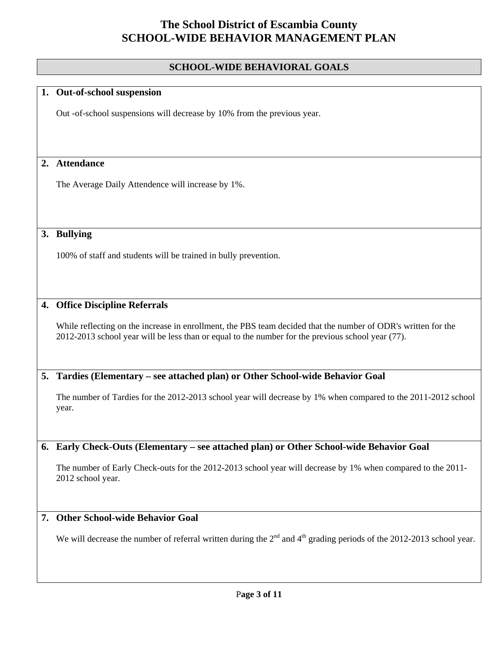## **SCHOOL-WIDE BEHAVIORAL GOALS**

### **1. Out-of-school suspension**

Out -of-school suspensions will decrease by 10% from the previous year.

## **2. Attendance**

The Average Daily Attendence will increase by 1%.

## **3. Bullying**

100% of staff and students will be trained in bully prevention.

### **4. Office Discipline Referrals**

While reflecting on the increase in enrollment, the PBS team decided that the number of ODR's written for the 2012-2013 school year will be less than or equal to the number for the previous school year (77).

#### **5. Tardies (Elementary – see attached plan) or Other School-wide Behavior Goal**

The number of Tardies for the 2012-2013 school year will decrease by 1% when compared to the 2011-2012 school year.

#### **6. Early Check-Outs (Elementary – see attached plan) or Other School-wide Behavior Goal**

The number of Early Check-outs for the 2012-2013 school year will decrease by 1% when compared to the 2011- 2012 school year.

## **7. Other School-wide Behavior Goal**

We will decrease the number of referral written during the  $2<sup>nd</sup>$  and  $4<sup>th</sup>$  grading periods of the 2012-2013 school year.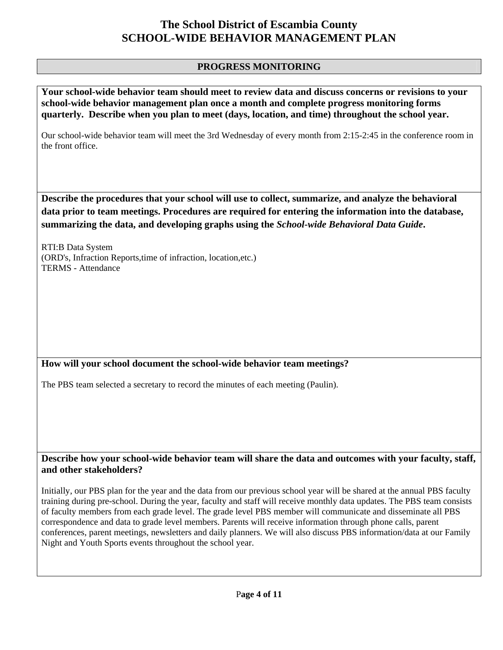## **PROGRESS MONITORING**

**Your school-wide behavior team should meet to review data and discuss concerns or revisions to your school-wide behavior management plan once a month and complete progress monitoring forms quarterly. Describe when you plan to meet (days, location, and time) throughout the school year.**  Our school-wide behavior team will meet the 3rd Wednesday of every month from 2:15-2:45 in the conference room in the front office. **Describe the procedures that your school will use to collect, summarize, and analyze the behavioral data prior to team meetings. Procedures are required for entering the information into the database, summarizing the data, and developing graphs using the** *School-wide Behavioral Data Guide***.**  RTI:B Data System (ORD's, Infraction Reports,time of infraction, location,etc.) TERMS - Attendance **How will your school document the school-wide behavior team meetings?** The PBS team selected a secretary to record the minutes of each meeting (Paulin). **Describe how your school-wide behavior team will share the data and outcomes with your faculty, staff, and other stakeholders?**  Initially, our PBS plan for the year and the data from our previous school year will be shared at the annual PBS faculty training during pre-school. During the year, faculty and staff will receive monthly data updates. The PBS team consists of faculty members from each grade level. The grade level PBS member will communicate and disseminate all PBS correspondence and data to grade level members. Parents will receive information through phone calls, parent

conferences, parent meetings, newsletters and daily planners. We will also discuss PBS information/data at our Family

Night and Youth Sports events throughout the school year.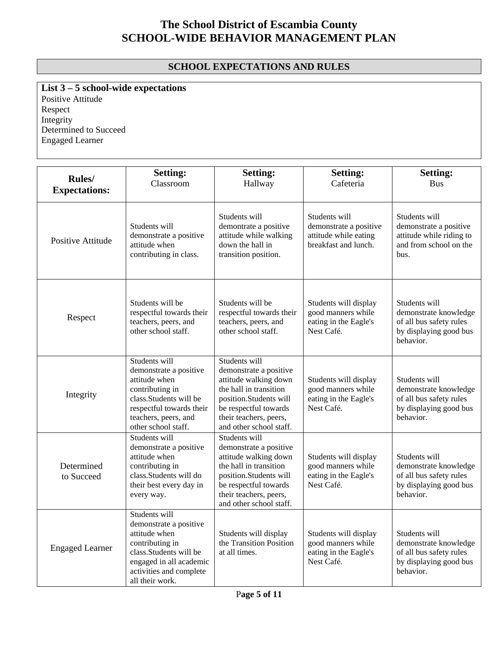## **SCHOOL EXPECTATIONS AND RULES**

**List 3 – 5 school-wide expectations** Positive Attitude

Respect Integrity Determined to Succeed Engaged Learner

| <b>Rules</b> /           | <b>Setting:</b>                                                                                                                                                                   | <b>Setting:</b>                                                                                                                                                                                    | <b>Setting:</b>                                                                          | <b>Setting:</b>                                                                                          |
|--------------------------|-----------------------------------------------------------------------------------------------------------------------------------------------------------------------------------|----------------------------------------------------------------------------------------------------------------------------------------------------------------------------------------------------|------------------------------------------------------------------------------------------|----------------------------------------------------------------------------------------------------------|
| <b>Expectations:</b>     | Classroom                                                                                                                                                                         | Hallway                                                                                                                                                                                            | Cafeteria                                                                                | <b>Bus</b>                                                                                               |
| <b>Positive Attitude</b> | Students will<br>demonstrate a positive<br>attitude when<br>contributing in class.                                                                                                | Students will<br>demontrate a positive<br>attitude while walking<br>down the hall in<br>transition position.                                                                                       | Students will<br>demonstrate a positive<br>attitude while eating<br>breakfast and lunch. | Students will<br>demonstrate a positive<br>attitude while riding to<br>and from school on the<br>hus.    |
| Respect                  | Students will be<br>respectful towards their<br>teachers, peers, and<br>other school staff.                                                                                       | Students will be<br>respectful towards their<br>teachers, peers, and<br>other school staff.                                                                                                        | Students will display<br>good manners while<br>eating in the Eagle's<br>Nest Café.       | Students will<br>demonstrate knowledge<br>of all bus safety rules<br>by displaying good bus<br>behavior. |
| Integrity                | Students will<br>demonstrate a positive<br>attitude when<br>contributing in<br>class. Students will be<br>respectful towards their<br>teachers, peers, and<br>other school staff. | Students will<br>demonstrate a positive<br>attitude walking down<br>the hall in transition<br>position.Students will<br>be respectful towards<br>their teachers, peers,<br>and other school staff. | Students will display<br>good manners while<br>eating in the Eagle's<br>Nest Café.       | Students will<br>demonstrate knowledge<br>of all bus safety rules<br>by displaying good bus<br>behavior. |
| Determined<br>to Succeed | Students will<br>demonstrate a positive<br>attitude when<br>contributing in<br>class.Students will do<br>their best every day in<br>every way.                                    | Students will<br>demonstrate a positive<br>attitude walking down<br>the hall in transition<br>position.Students will<br>be respectful towards<br>their teachers, peers,<br>and other school staff. | Students will display<br>good manners while<br>eating in the Eagle's<br>Nest Café.       | Students will<br>demonstrate knowledge<br>of all bus safety rules<br>by displaying good bus<br>behavior. |
| <b>Engaged Learner</b>   | Students will<br>demonstrate a positive<br>attitude when<br>contributing in<br>class.Students will be<br>engaged in all academic<br>activities and complete<br>all their work.    | Students will display<br>the Transition Position<br>at all times.                                                                                                                                  | Students will display<br>good manners while<br>eating in the Eagle's<br>Nest Café.       | Students will<br>demonstrate knowledge<br>of all bus safety rules<br>by displaying good bus<br>behavior. |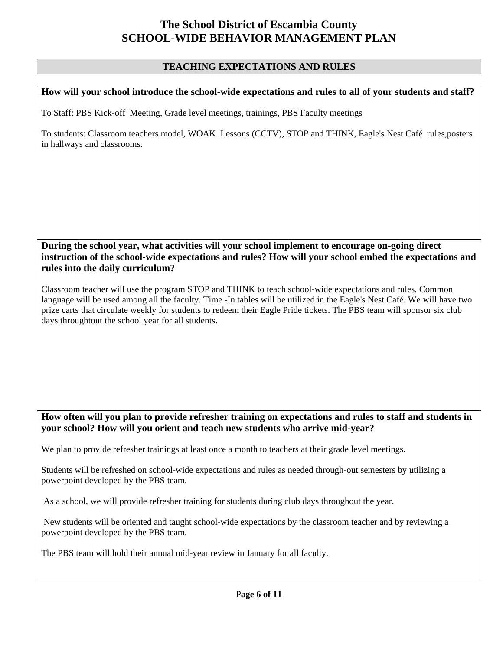## **TEACHING EXPECTATIONS AND RULES**

#### **How will your school introduce the school-wide expectations and rules to all of your students and staff?**

To Staff: PBS Kick-off Meeting, Grade level meetings, trainings, PBS Faculty meetings

To students: Classroom teachers model, WOAK Lessons (CCTV), STOP and THINK, Eagle's Nest Café rules,posters in hallways and classrooms.

### **During the school year, what activities will your school implement to encourage on-going direct instruction of the school-wide expectations and rules? How will your school embed the expectations and rules into the daily curriculum?**

Classroom teacher will use the program STOP and THINK to teach school-wide expectations and rules. Common language will be used among all the faculty. Time -In tables will be utilized in the Eagle's Nest Café. We will have two prize carts that circulate weekly for students to redeem their Eagle Pride tickets. The PBS team will sponsor six club days throughtout the school year for all students.

### **How often will you plan to provide refresher training on expectations and rules to staff and students in your school? How will you orient and teach new students who arrive mid-year?**

We plan to provide refresher trainings at least once a month to teachers at their grade level meetings.

Students will be refreshed on school-wide expectations and rules as needed through-out semesters by utilizing a powerpoint developed by the PBS team.

As a school, we will provide refresher training for students during club days throughout the year.

 New students will be oriented and taught school-wide expectations by the classroom teacher and by reviewing a powerpoint developed by the PBS team.

The PBS team will hold their annual mid-year review in January for all faculty.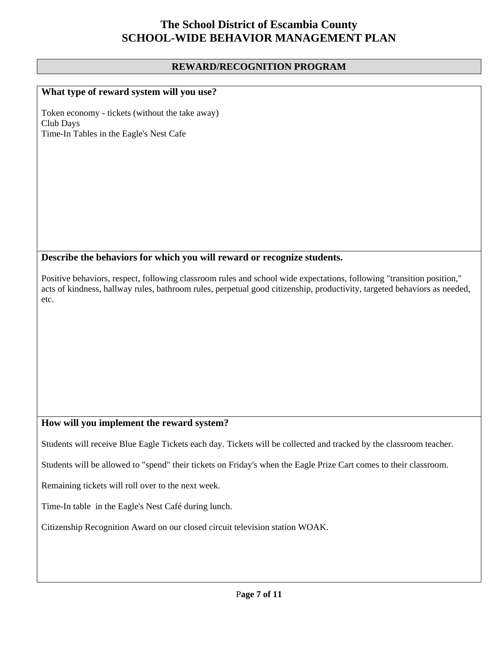### **REWARD/RECOGNITION PROGRAM**

### **What type of reward system will you use?**

Token economy - tickets (without the take away) Club Days Time-In Tables in the Eagle's Nest Cafe

#### **Describe the behaviors for which you will reward or recognize students.**

Positive behaviors, respect, following classroom rules and school wide expectations, following "transition position," acts of kindness, hallway rules, bathroom rules, perpetual good citizenship, productivity, targeted behaviors as needed, etc.

## **How will you implement the reward system?**

Students will receive Blue Eagle Tickets each day. Tickets will be collected and tracked by the classroom teacher.

Students will be allowed to "spend" their tickets on Friday's when the Eagle Prize Cart comes to their classroom.

Remaining tickets will roll over to the next week.

Time-In table in the Eagle's Nest Café during lunch.

Citizenship Recognition Award on our closed circuit television station WOAK.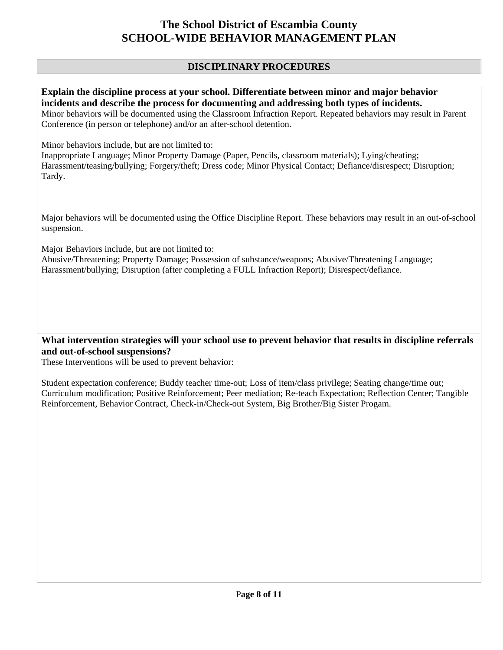## **DISCIPLINARY PROCEDURES**

**Explain the discipline process at your school. Differentiate between minor and major behavior incidents and describe the process for documenting and addressing both types of incidents.**  Minor behaviors will be documented using the Classroom Infraction Report. Repeated behaviors may result in Parent Conference (in person or telephone) and/or an after-school detention.

Minor behaviors include, but are not limited to:

Inappropriate Language; Minor Property Damage (Paper, Pencils, classroom materials); Lying/cheating; Harassment/teasing/bullying; Forgery/theft; Dress code; Minor Physical Contact; Defiance/disrespect; Disruption; Tardy.

Major behaviors will be documented using the Office Discipline Report. These behaviors may result in an out-of-school suspension.

Major Behaviors include, but are not limited to:

Abusive/Threatening; Property Damage; Possession of substance/weapons; Abusive/Threatening Language; Harassment/bullying; Disruption (after completing a FULL Infraction Report); Disrespect/defiance.

**What intervention strategies will your school use to prevent behavior that results in discipline referrals and out-of-school suspensions?** 

These Interventions will be used to prevent behavior:

Student expectation conference; Buddy teacher time-out; Loss of item/class privilege; Seating change/time out; Curriculum modification; Positive Reinforcement; Peer mediation; Re-teach Expectation; Reflection Center; Tangible Reinforcement, Behavior Contract, Check-in/Check-out System, Big Brother/Big Sister Progam.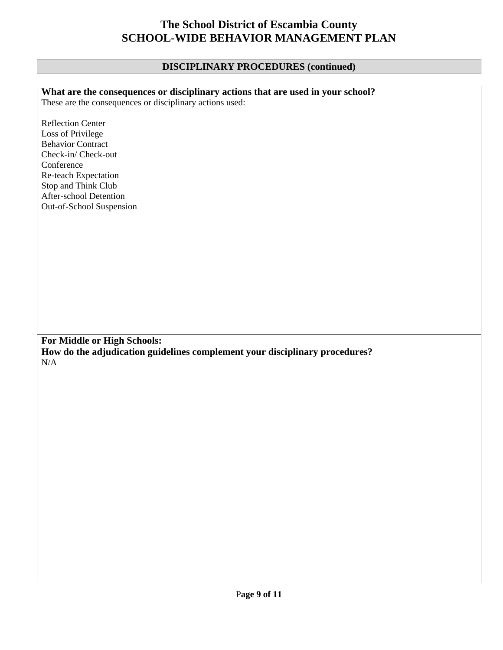## **DISCIPLINARY PROCEDURES (continued)**

| What are the consequences or disciplinary actions that are used in your school?          |
|------------------------------------------------------------------------------------------|
| These are the consequences or disciplinary actions used:                                 |
|                                                                                          |
| Reflection Center                                                                        |
| Loss of Privilege                                                                        |
| <b>Behavior Contract</b>                                                                 |
| Check-in/Check-out                                                                       |
| Conference                                                                               |
| Re-teach Expectation                                                                     |
| Stop and Think Club                                                                      |
| After-school Detention                                                                   |
| Out-of-School Suspension                                                                 |
|                                                                                          |
|                                                                                          |
|                                                                                          |
|                                                                                          |
|                                                                                          |
|                                                                                          |
|                                                                                          |
|                                                                                          |
|                                                                                          |
|                                                                                          |
|                                                                                          |
|                                                                                          |
| For Middle or High Schools:                                                              |
|                                                                                          |
| How do the adjudication guidelines complement your disciplinary procedures?<br>$\rm N/A$ |
|                                                                                          |
|                                                                                          |
|                                                                                          |
|                                                                                          |
|                                                                                          |
|                                                                                          |
|                                                                                          |
|                                                                                          |
|                                                                                          |
|                                                                                          |
|                                                                                          |
|                                                                                          |
|                                                                                          |
|                                                                                          |
|                                                                                          |
|                                                                                          |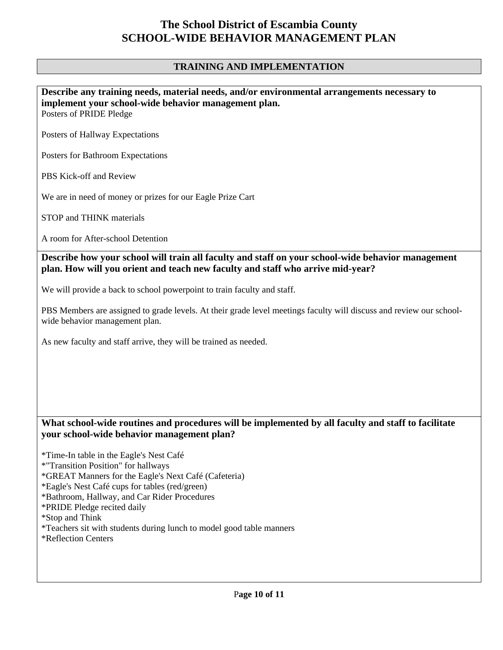## **TRAINING AND IMPLEMENTATION**

## **Describe any training needs, material needs, and/or environmental arrangements necessary to implement your school-wide behavior management plan.**

Posters of PRIDE Pledge

Posters of Hallway Expectations

Posters for Bathroom Expectations

PBS Kick-off and Review

We are in need of money or prizes for our Eagle Prize Cart

STOP and THINK materials

A room for After-school Detention

**Describe how your school will train all faculty and staff on your school-wide behavior management plan. How will you orient and teach new faculty and staff who arrive mid-year?** 

We will provide a back to school powerpoint to train faculty and staff.

PBS Members are assigned to grade levels. At their grade level meetings faculty will discuss and review our schoolwide behavior management plan.

As new faculty and staff arrive, they will be trained as needed.

### **What school-wide routines and procedures will be implemented by all faculty and staff to facilitate your school-wide behavior management plan?**

\*Time-In table in the Eagle's Nest Café

\*"Transition Position" for hallways

\*GREAT Manners for the Eagle's Next Café (Cafeteria)

\*Eagle's Nest Café cups for tables (red/green)

\*Bathroom, Hallway, and Car Rider Procedures

\*PRIDE Pledge recited daily

\*Stop and Think

\*Teachers sit with students during lunch to model good table manners

\*Reflection Centers